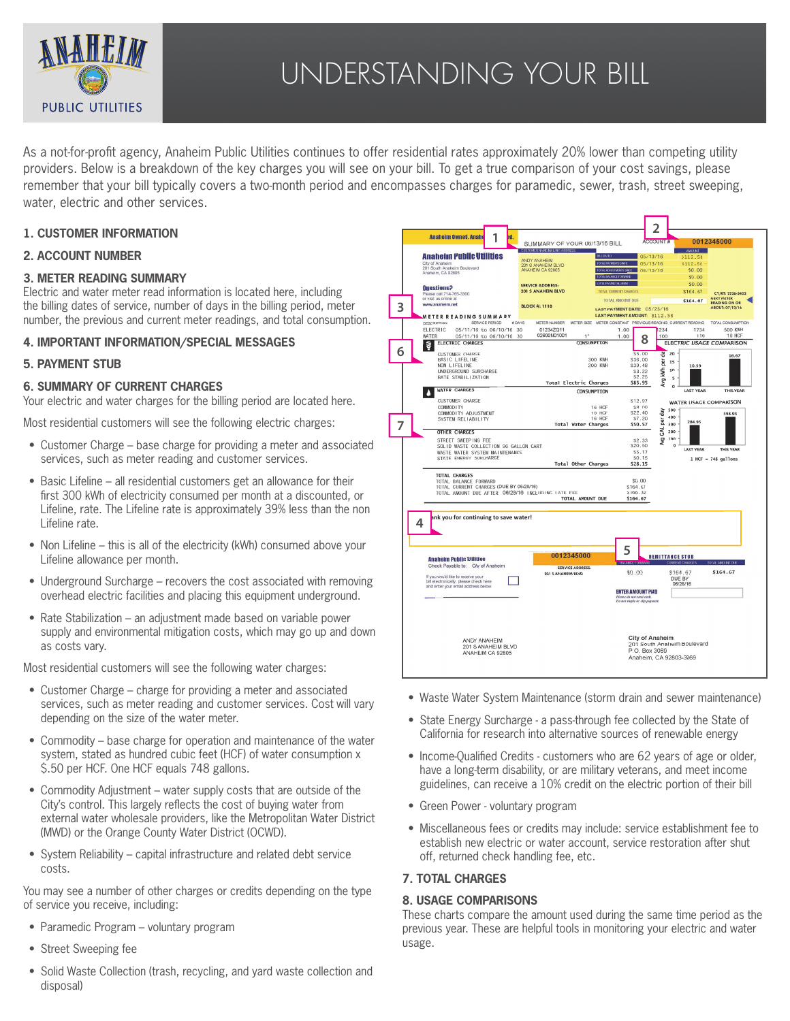

# UNDERSTANDING YOUR BILL

As a not-for-profit agency, Anaheim Public Utilities continues to offer residential rates approximately 20% lower than competing utility providers. Below is a breakdown of the key charges you will see on your bill. To get a true comparison of your cost savings, please remember that your bill typically covers a two-month period and encompasses charges for paramedic, sewer, trash, street sweeping, water, electric and other services.

# **1. CUSTOMER INFORMATION**

# **2. ACCOUNT NUMBER**

# **3. METER READING SUMMARY**

Electric and water meter read information is located here, including the billing dates of service, number of days in the billing period, meter number, the previous and current meter readings, and total consumption.

# **4. IMPORTANT INFORMATION/SPECIAL MESSAGES**

# **5. PAYMENT STUB**

# **6. SUMMARY OF CURRENT CHARGES**

Your electric and water charges for the billing period are located here.

Most residential customers will see the following electric charges:

- Customer Charge base charge for providing a meter and associated services, such as meter reading and customer services.
- Basic Lifeline all residential customers get an allowance for their first 300 kWh of electricity consumed per month at a discounted, or Lifeline, rate. The Lifeline rate is approximately 39% less than the non Lifeline rate.
- Non Lifeline this is all of the electricity (kWh) consumed above your Lifeline allowance per month.
- Underground Surcharge recovers the cost associated with removing overhead electric facilities and placing this equipment underground.
- Rate Stabilization an adjustment made based on variable power supply and environmental mitigation costs, which may go up and down as costs vary.

Most residential customers will see the following water charges:

- Customer Charge charge for providing a meter and associated services, such as meter reading and customer services. Cost will vary depending on the size of the water meter.
- Commodity base charge for operation and maintenance of the water system, stated as hundred cubic feet (HCF) of water consumption x \$.50 per HCF. One HCF equals 748 gallons.
- Commodity Adjustment water supply costs that are outside of the City's control. This largely reflects the cost of buying water from external water wholesale providers, like the Metropolitan Water District (MWD) or the Orange County Water District (OCWD).
- System Reliability capital infrastructure and related debt service costs.

You may see a number of other charges or credits depending on the type of service you receive, including:

- Paramedic Program voluntary program
- Street Sweeping fee
- Solid Waste Collection (trash, recycling, and yard waste collection and disposal)



- Waste Water System Maintenance (storm drain and sewer maintenance)
- State Energy Surcharge a pass-through fee collected by the State of California for research into alternative sources of renewable energy
- Income-Qualified Credits customers who are 62 years of age or older, have a long-term disability, or are military veterans, and meet income guidelines, can receive a 10% credit on the electric portion of their bill
- Green Power voluntary program
- Miscellaneous fees or credits may include: service establishment fee to establish new electric or water account, service restoration after shut off, returned check handling fee, etc.

# **7. TOTAL CHARGES**

# **8. USAGE COMPARISONS**

These charts compare the amount used during the same time period as the previous year. These are helpful tools in monitoring your electric and water usage.